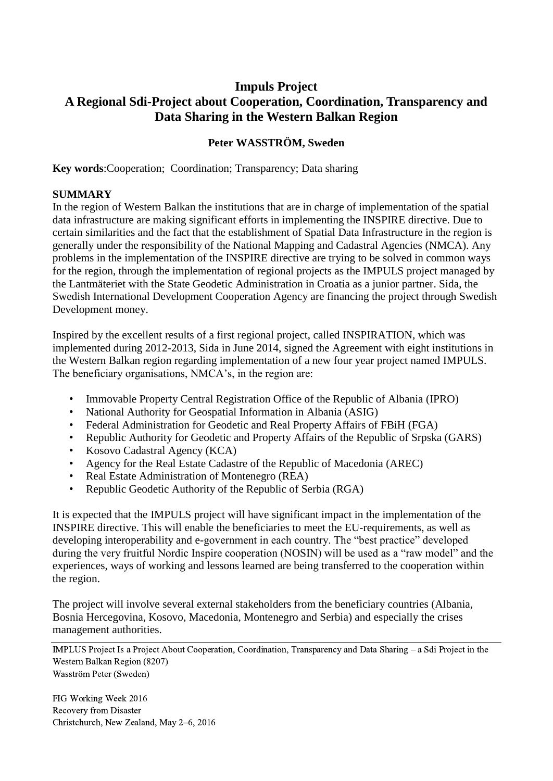# **Impuls Project A Regional Sdi-Project about Cooperation, Coordination, Transparency and Data Sharing in the Western Balkan Region**

#### **Peter WASSTRÖM, Sweden**

**Key words**:Cooperation; Coordination; Transparency; Data sharing

#### **SUMMARY**

In the region of Western Balkan the institutions that are in charge of implementation of the spatial data infrastructure are making significant efforts in implementing the INSPIRE directive. Due to certain similarities and the fact that the establishment of Spatial Data Infrastructure in the region is generally under the responsibility of the National Mapping and Cadastral Agencies (NMCA). Any problems in the implementation of the INSPIRE directive are trying to be solved in common ways for the region, through the implementation of regional projects as the IMPULS project managed by the Lantmäteriet with the State Geodetic Administration in Croatia as a junior partner. Sida, the Swedish International Development Cooperation Agency are financing the project through Swedish Development money.

Inspired by the excellent results of a first regional project, called INSPIRATION, which was implemented during 2012-2013, Sida in June 2014, signed the Agreement with eight institutions in the Western Balkan region regarding implementation of a new four year project named IMPULS. The beneficiary organisations, NMCA's, in the region are:

- Immovable Property Central Registration Office of the Republic of Albania (IPRO)
- National Authority for Geospatial Information in Albania (ASIG)
- Federal Administration for Geodetic and Real Property Affairs of FBiH (FGA)
- Republic Authority for Geodetic and Property Affairs of the Republic of Srpska (GARS)
- Kosovo Cadastral Agency (KCA)
- Agency for the Real Estate Cadastre of the Republic of Macedonia (AREC)
- Real Estate Administration of Montenegro (REA)
- Republic Geodetic Authority of the Republic of Serbia (RGA)

It is expected that the IMPULS project will have significant impact in the implementation of the INSPIRE directive. This will enable the beneficiaries to meet the EU-requirements, as well as developing interoperability and e-government in each country. The "best practice" developed during the very fruitful Nordic Inspire cooperation (NOSIN) will be used as a "raw model" and the experiences, ways of working and lessons learned are being transferred to the cooperation within the region.

The project will involve several external stakeholders from the beneficiary countries (Albania, Bosnia Hercegovina, Kosovo, Macedonia, Montenegro and Serbia) and especially the crises management authorities.

IMPLUS Project Is a Project About Cooperation, Coordination, Transparency and Data Sharing – a Sdi Project in the Western Balkan Region (8207) Wasström Peter (Sweden)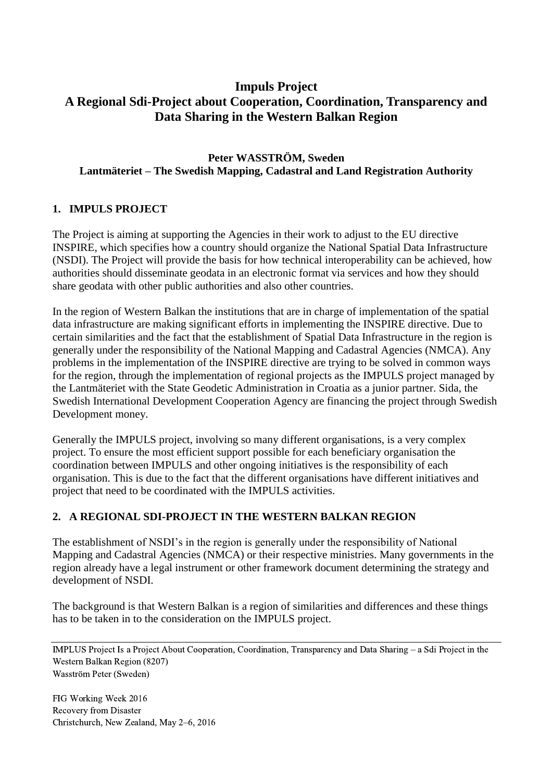# **Impuls Project A Regional Sdi-Project about Cooperation, Coordination, Transparency and Data Sharing in the Western Balkan Region**

### **Peter WASSTRÖM, Sweden Lantmäteriet – The Swedish Mapping, Cadastral and Land Registration Authority**

### **1. IMPULS PROJECT**

The Project is aiming at supporting the Agencies in their work to adjust to the EU directive INSPIRE, which specifies how a country should organize the National Spatial Data Infrastructure (NSDI). The Project will provide the basis for how technical interoperability can be achieved, how authorities should disseminate geodata in an electronic format via services and how they should share geodata with other public authorities and also other countries.

In the region of Western Balkan the institutions that are in charge of implementation of the spatial data infrastructure are making significant efforts in implementing the INSPIRE directive. Due to certain similarities and the fact that the establishment of Spatial Data Infrastructure in the region is generally under the responsibility of the National Mapping and Cadastral Agencies (NMCA). Any problems in the implementation of the INSPIRE directive are trying to be solved in common ways for the region, through the implementation of regional projects as the IMPULS project managed by the Lantmäteriet with the State Geodetic Administration in Croatia as a junior partner. Sida, the Swedish International Development Cooperation Agency are financing the project through Swedish Development money.

Generally the IMPULS project, involving so many different organisations, is a very complex project. To ensure the most efficient support possible for each beneficiary organisation the coordination between IMPULS and other ongoing initiatives is the responsibility of each organisation. This is due to the fact that the different organisations have different initiatives and project that need to be coordinated with the IMPULS activities.

## **2. A REGIONAL SDI-PROJECT IN THE WESTERN BALKAN REGION**

The establishment of NSDI's in the region is generally under the responsibility of National Mapping and Cadastral Agencies (NMCA) or their respective ministries. Many governments in the region already have a legal instrument or other framework document determining the strategy and development of NSDI.

The background is that Western Balkan is a region of similarities and differences and these things has to be taken in to the consideration on the IMPULS project.

IMPLUS Project Is a Project About Cooperation, Coordination, Transparency and Data Sharing – a Sdi Project in the Western Balkan Region (8207) Wasström Peter (Sweden)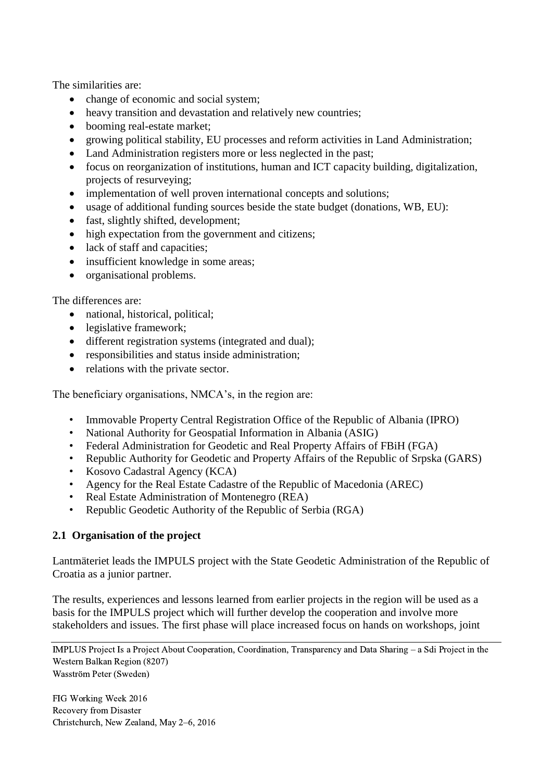The similarities are:

- change of economic and social system;
- heavy transition and devastation and relatively new countries;
- booming real-estate market;
- growing political stability, EU processes and reform activities in Land Administration;
- Land Administration registers more or less neglected in the past;
- focus on reorganization of institutions, human and ICT capacity building, digitalization, projects of resurveying;
- implementation of well proven international concepts and solutions;
- usage of additional funding sources beside the state budget (donations, WB, EU):
- fast, slightly shifted, development;
- high expectation from the government and citizens;
- lack of staff and capacities;
- insufficient knowledge in some areas;
- organisational problems.

### The differences are:

- national, historical, political;
- legislative framework;
- different registration systems (integrated and dual);
- responsibilities and status inside administration;
- relations with the private sector.

The beneficiary organisations, NMCA's, in the region are:

- Immovable Property Central Registration Office of the Republic of Albania (IPRO)
- National Authority for Geospatial Information in Albania (ASIG)
- Federal Administration for Geodetic and Real Property Affairs of FBiH (FGA)
- Republic Authority for Geodetic and Property Affairs of the Republic of Srpska (GARS)
- Kosovo Cadastral Agency (KCA)
- Agency for the Real Estate Cadastre of the Republic of Macedonia (AREC)
- Real Estate Administration of Montenegro (REA)
- Republic Geodetic Authority of the Republic of Serbia (RGA)

### **2.1 Organisation of the project**

Lantmäteriet leads the IMPULS project with the State Geodetic Administration of the Republic of Croatia as a junior partner.

The results, experiences and lessons learned from earlier projects in the region will be used as a basis for the IMPULS project which will further develop the cooperation and involve more stakeholders and issues. The first phase will place increased focus on hands on workshops, joint

IMPLUS Project Is a Project About Cooperation, Coordination, Transparency and Data Sharing – a Sdi Project in the Western Balkan Region (8207) Wasström Peter (Sweden)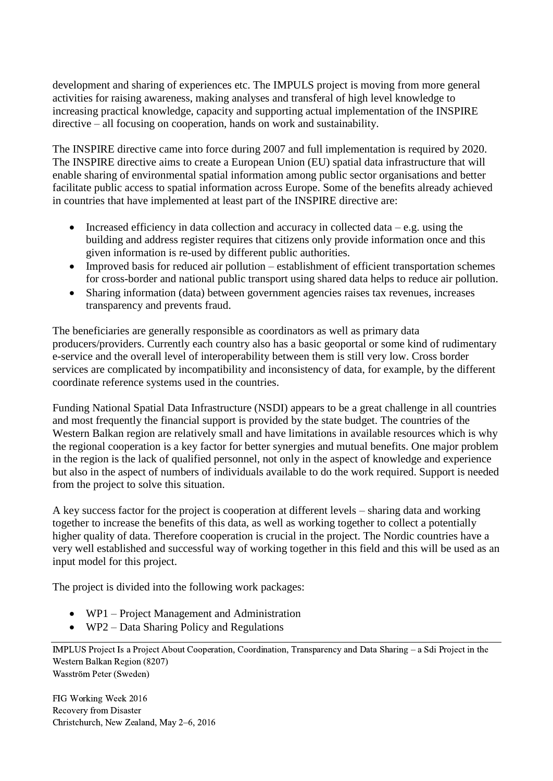development and sharing of experiences etc. The IMPULS project is moving from more general activities for raising awareness, making analyses and transferal of high level knowledge to increasing practical knowledge, capacity and supporting actual implementation of the INSPIRE directive – all focusing on cooperation, hands on work and sustainability.

The INSPIRE directive came into force during 2007 and full implementation is required by 2020. The INSPIRE directive aims to create a European Union (EU) spatial data infrastructure that will enable sharing of environmental spatial information among public sector organisations and better facilitate public access to spatial information across Europe. Some of the benefits already achieved in countries that have implemented at least part of the INSPIRE directive are:

- Increased efficiency in data collection and accuracy in collected data e.g. using the building and address register requires that citizens only provide information once and this given information is re-used by different public authorities.
- Improved basis for reduced air pollution establishment of efficient transportation schemes for cross-border and national public transport using shared data helps to reduce air pollution.
- Sharing information (data) between government agencies raises tax revenues, increases transparency and prevents fraud.

The beneficiaries are generally responsible as coordinators as well as primary data producers/providers. Currently each country also has a basic geoportal or some kind of rudimentary e-service and the overall level of interoperability between them is still very low. Cross border services are complicated by incompatibility and inconsistency of data, for example, by the different coordinate reference systems used in the countries.

Funding National Spatial Data Infrastructure (NSDI) appears to be a great challenge in all countries and most frequently the financial support is provided by the state budget. The countries of the Western Balkan region are relatively small and have limitations in available resources which is why the regional cooperation is a key factor for better synergies and mutual benefits. One major problem in the region is the lack of qualified personnel, not only in the aspect of knowledge and experience but also in the aspect of numbers of individuals available to do the work required. Support is needed from the project to solve this situation.

A key success factor for the project is cooperation at different levels – sharing data and working together to increase the benefits of this data, as well as working together to collect a potentially higher quality of data. Therefore cooperation is crucial in the project. The Nordic countries have a very well established and successful way of working together in this field and this will be used as an input model for this project.

The project is divided into the following work packages:

- WP1 Project Management and Administration
- WP2 Data Sharing Policy and Regulations

IMPLUS Project Is a Project About Cooperation, Coordination, Transparency and Data Sharing – a Sdi Project in the Western Balkan Region (8207) Wasström Peter (Sweden)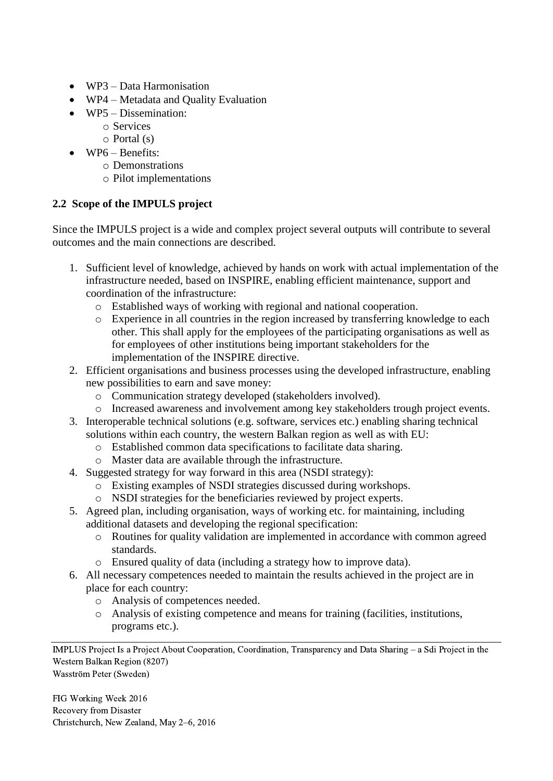- WP3 Data Harmonisation
- WP4 Metadata and Quality Evaluation
- WP5 Dissemination:
	- o Services
	- $\circ$  Portal  $(s)$
- WP6 Benefits:
	- o Demonstrations
	- o Pilot implementations

# **2.2 Scope of the IMPULS project**

Since the IMPULS project is a wide and complex project several outputs will contribute to several outcomes and the main connections are described.

- 1. Sufficient level of knowledge, achieved by hands on work with actual implementation of the infrastructure needed, based on INSPIRE, enabling efficient maintenance, support and coordination of the infrastructure:
	- o Established ways of working with regional and national cooperation.
	- o Experience in all countries in the region increased by transferring knowledge to each other. This shall apply for the employees of the participating organisations as well as for employees of other institutions being important stakeholders for the implementation of the INSPIRE directive.
- 2. Efficient organisations and business processes using the developed infrastructure, enabling new possibilities to earn and save money:
	- o Communication strategy developed (stakeholders involved).
	- o Increased awareness and involvement among key stakeholders trough project events.
- 3. Interoperable technical solutions (e.g. software, services etc.) enabling sharing technical solutions within each country, the western Balkan region as well as with EU:
	- o Established common data specifications to facilitate data sharing.
	- o Master data are available through the infrastructure.
- 4. Suggested strategy for way forward in this area (NSDI strategy):
	- o Existing examples of NSDI strategies discussed during workshops.
	- o NSDI strategies for the beneficiaries reviewed by project experts.
- 5. Agreed plan, including organisation, ways of working etc. for maintaining, including additional datasets and developing the regional specification:
	- o Routines for quality validation are implemented in accordance with common agreed standards.
	- o Ensured quality of data (including a strategy how to improve data).
- 6. All necessary competences needed to maintain the results achieved in the project are in place for each country:
	- o Analysis of competences needed.
	- o Analysis of existing competence and means for training (facilities, institutions, programs etc.).

IMPLUS Project Is a Project About Cooperation, Coordination, Transparency and Data Sharing – a Sdi Project in the Western Balkan Region (8207) Wasström Peter (Sweden)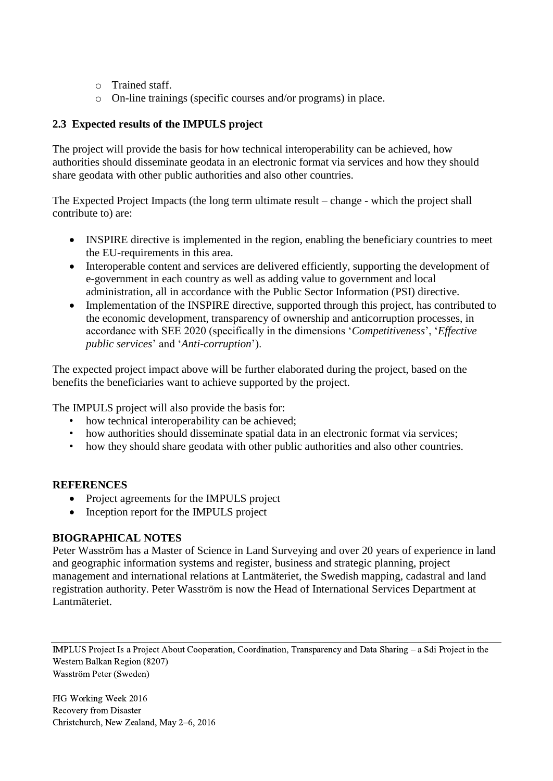- o Trained staff.
- o On-line trainings (specific courses and/or programs) in place.

### **2.3 Expected results of the IMPULS project**

The project will provide the basis for how technical interoperability can be achieved, how authorities should disseminate geodata in an electronic format via services and how they should share geodata with other public authorities and also other countries.

The Expected Project Impacts (the long term ultimate result – change - which the project shall contribute to) are:

- INSPIRE directive is implemented in the region, enabling the beneficiary countries to meet the EU-requirements in this area.
- Interoperable content and services are delivered efficiently, supporting the development of e-government in each country as well as adding value to government and local administration, all in accordance with the Public Sector Information (PSI) directive.
- Implementation of the INSPIRE directive, supported through this project, has contributed to the economic development, transparency of ownership and anticorruption processes, in accordance with SEE 2020 (specifically in the dimensions '*Competitiveness*', '*Effective public services*' and '*Anti-corruption*').

The expected project impact above will be further elaborated during the project, based on the benefits the beneficiaries want to achieve supported by the project.

The IMPULS project will also provide the basis for:

- how technical interoperability can be achieved;
- how authorities should disseminate spatial data in an electronic format via services;
- how they should share geodata with other public authorities and also other countries.

#### **REFERENCES**

- Project agreements for the IMPULS project
- Inception report for the IMPULS project

### **BIOGRAPHICAL NOTES**

Peter Wasström has a Master of Science in Land Surveying and over 20 years of experience in land and geographic information systems and register, business and strategic planning, project management and international relations at Lantmäteriet, the Swedish mapping, cadastral and land registration authority. Peter Wasström is now the Head of International Services Department at Lantmäteriet.

IMPLUS Project Is a Project About Cooperation, Coordination, Transparency and Data Sharing – a Sdi Project in the Western Balkan Region (8207) Wasström Peter (Sweden)